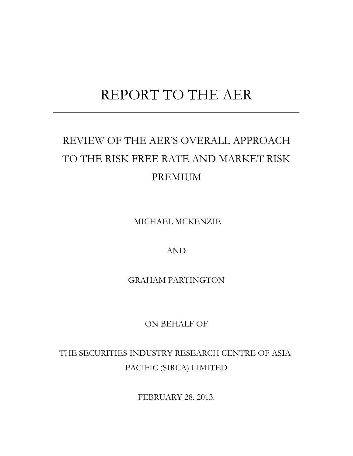# REPORT TO THE AER

# REVIEW OF THE AER'S OVERALL APPROACH TO THE RISK FREE RATE AND MARKET RISK PREMIUM

MICHAEL MCKENZIE

AND

GRAHAM PARTINGTON

ON BEHALF OF

THE SECURITIES INDUSTRY RESEARCH CENTRE OF ASIA-PACIFIC (SIRCA) LIMITED

FEBRUARY 28, 2013.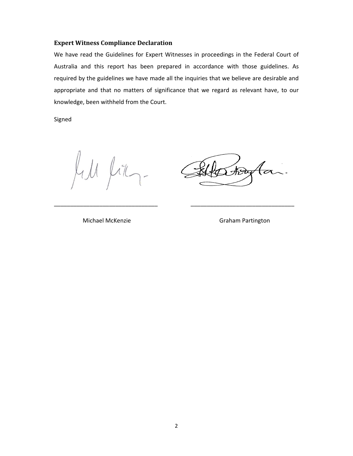# **Expert Witness Compliance Declaration**

We have read the Guidelines for Expert Witnesses in proceedings in the Federal Court of Australia and this report has been prepared in accordance with those guidelines. As required by the guidelines we have made all the inquiries that we believe are desirable and appropriate and that no matters of significance that we regard as relevant have, to our knowledge, been withheld from the Court.

\_\_\_\_\_\_\_\_\_\_\_\_\_\_\_\_\_\_\_\_\_\_\_\_\_\_\_\_\_\_\_\_ \_\_\_\_\_\_\_\_\_\_\_\_\_\_\_\_\_\_\_\_\_\_\_\_\_\_\_\_\_\_\_\_

Signed

 $\mu$ il,  $\overline{\phantom{a}}$ 

स्रिप्

Michael McKenzie Graham Partington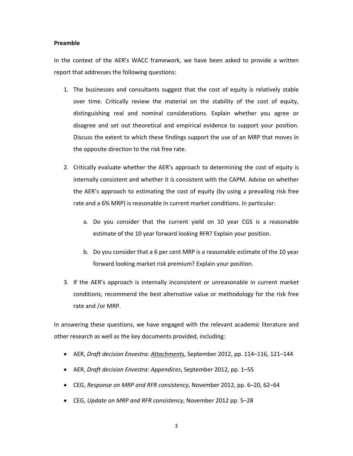#### **Preamble**

In the context of the AER's WACC framework, we have been asked to provide a written report that addresses the following questions:

- 1. The businesses and consultants suggest that the cost of equity is relatively stable over time. Critically review the material on the stability of the cost of equity, distinguishing real and nominal considerations. Explain whether you agree or disagree and set out theoretical and empirical evidence to support your position. Discuss the extent to which these findings support the use of an MRP that moves in the opposite direction to the risk free rate.
- 2. Critically evaluate whether the AER's approach to determining the cost of equity is internally consistent and whether it is consistent with the CAPM. Advise on whether the AER's approach to estimating the cost of equity (by using a prevailing risk free rate and a 6% MRP) is reasonable in current market conditions. In particular:
	- a. Do you consider that the current yield on 10 year CGS is a reasonable estimate of the 10 year forward looking RFR? Explain your position.
	- b. Do you consider that a 6 per cent MRP is a reasonable estimate of the 10 year forward looking market risk premium? Explain your position.
- 3. If the AER's approach is internally inconsistent or unreasonable in current market conditions, recommend the best alternative value or methodology for the risk free rate and /or MRP.

In answering these questions, we have engaged with the relevant academic literature and other research as well as the key documents provided, including:

- AER, *Draft decision Envestra: Attachments*, September 2012, pp. 114–116, 121–144
- AER, *Draft decision Envestra: Appendices*, September 2012, pp. 1–55
- CEG, *Response on MRP and RFR consistency*, November 2012, pp. 6–20, 62–64
- CEG, *Update on MRP and RFR consistency*, November 2012 pp. 5–28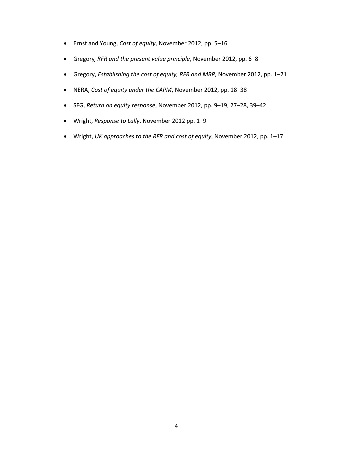- Ernst and Young, *Cost of equity*, November 2012, pp. 5–16
- Gregory, *RFR and the present value principle*, November 2012, pp. 6–8
- Gregory, *Establishing the cost of equity, RFR and MRP*, November 2012, pp. 1–21
- NERA, *Cost of equity under the CAPM*, November 2012, pp. 18–38
- SFG, *Return on equity response*, November 2012, pp. 9–19, 27–28, 39–42
- Wright, *Response to Lally*, November 2012 pp. 1–9
- Wright, *UK approaches to the RFR and cost of equity*, November 2012, pp. 1–17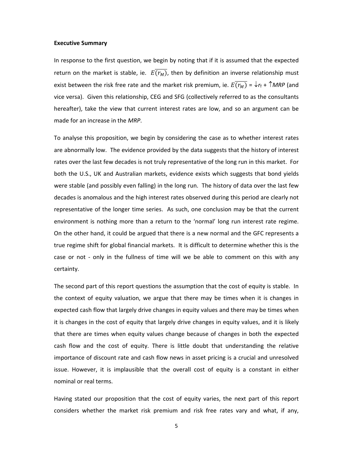#### **Executive Summary**

In response to the first question, we begin by noting that if it is assumed that the expected return on the market is stable, ie.  $E(\overline{r_M})$ , then by definition an inverse relationship must exist between the risk free rate and the market risk premium, ie.  $E(\overline{r_M}) = \sqrt{r_f + \gamma M_R P}$  (and vice versa). Given this relationship, CEG and SFG (collectively referred to as the consultants hereafter), take the view that current interest rates are low, and so an argument can be made for an increase in the *MRP*.

To analyse this proposition, we begin by considering the case as to whether interest rates are abnormally low. The evidence provided by the data suggests that the history of interest rates over the last few decades is not truly representative of the long run in this market. For both the U.S., UK and Australian markets, evidence exists which suggests that bond yields were stable (and possibly even falling) in the long run. The history of data over the last few decades is anomalous and the high interest rates observed during this period are clearly not representative of the longer time series. As such, one conclusion may be that the current environment is nothing more than a return to the 'normal' long run interest rate regime. On the other hand, it could be argued that there is a new normal and the GFC represents a true regime shift for global financial markets. It is difficult to determine whether this is the case or not - only in the fullness of time will we be able to comment on this with any certainty.

The second part of this report questions the assumption that the cost of equity is stable. In the context of equity valuation, we argue that there may be times when it is changes in expected cash flow that largely drive changes in equity values and there may be times when it is changes in the cost of equity that largely drive changes in equity values, and it is likely that there are times when equity values change because of changes in both the expected cash flow and the cost of equity. There is little doubt that understanding the relative importance of discount rate and cash flow news in asset pricing is a crucial and unresolved issue. However, it is implausible that the overall cost of equity is a constant in either nominal or real terms.

Having stated our proposition that the cost of equity varies, the next part of this report considers whether the market risk premium and risk free rates vary and what, if any,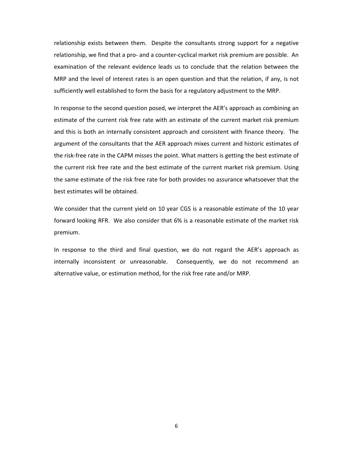relationship exists between them. Despite the consultants strong support for a negative relationship, we find that a pro‐ and a counter‐cyclical market risk premium are possible. An examination of the relevant evidence leads us to conclude that the relation between the MRP and the level of interest rates is an open question and that the relation, if any, is not sufficiently well established to form the basis for a regulatory adjustment to the MRP.

In response to the second question posed, we interpret the AER's approach as combining an estimate of the current risk free rate with an estimate of the current market risk premium and this is both an internally consistent approach and consistent with finance theory. The argument of the consultants that the AER approach mixes current and historic estimates of the risk‐free rate in the CAPM misses the point. What matters is getting the best estimate of the current risk free rate and the best estimate of the current market risk premium. Using the same estimate of the risk free rate for both provides no assurance whatsoever that the best estimates will be obtained.

We consider that the current yield on 10 year CGS is a reasonable estimate of the 10 year forward looking RFR. We also consider that 6% is a reasonable estimate of the market risk premium.

In response to the third and final question, we do not regard the AER's approach as internally inconsistent or unreasonable. Consequently, we do not recommend an alternative value, or estimation method, for the risk free rate and/or MRP.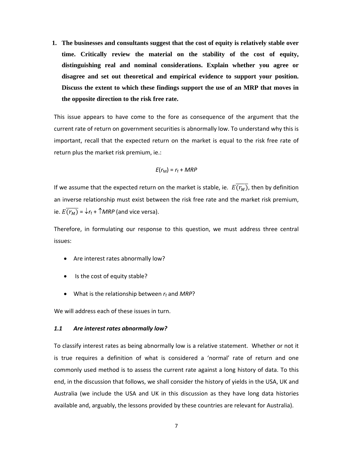**1. The businesses and consultants suggest that the cost of equity is relatively stable over time. Critically review the material on the stability of the cost of equity, distinguishing real and nominal considerations. Explain whether you agree or disagree and set out theoretical and empirical evidence to support your position. Discuss the extent to which these findings support the use of an MRP that moves in the opposite direction to the risk free rate.** 

This issue appears to have come to the fore as consequence of the argument that the current rate of return on government securities is abnormally low. To understand why this is important, recall that the expected return on the market is equal to the risk free rate of return plus the market risk premium, ie.:

$$
E(r_{\rm M})=r_{\rm f}+MRP
$$

If we assume that the expected return on the market is stable, ie.  $E(\overline{r_M})$ , then by definition an inverse relationship must exist between the risk free rate and the market risk premium, ie.  $E(\overline{r_M}) = \sqrt{r_f + \gamma MRP}$  (and vice versa).

Therefore, in formulating our response to this question, we must address three central issues:

- Are interest rates abnormally low?
- Is the cost of equity stable?
- What is the relationship between  $r_f$  and *MRP*?

We will address each of these issues in turn.

#### *1.1 Are interest rates abnormally low?*

To classify interest rates as being abnormally low is a relative statement. Whether or not it is true requires a definition of what is considered a 'normal' rate of return and one commonly used method is to assess the current rate against a long history of data. To this end, in the discussion that follows, we shall consider the history of yields in the USA, UK and Australia (we include the USA and UK in this discussion as they have long data histories available and, arguably, the lessons provided by these countries are relevant for Australia).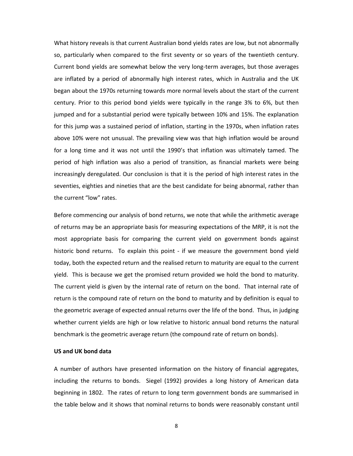What history reveals is that current Australian bond yields rates are low, but not abnormally so, particularly when compared to the first seventy or so years of the twentieth century. Current bond yields are somewhat below the very long‐term averages, but those averages are inflated by a period of abnormally high interest rates, which in Australia and the UK began about the 1970s returning towards more normal levels about the start of the current century. Prior to this period bond yields were typically in the range 3% to 6%, but then jumped and for a substantial period were typically between 10% and 15%. The explanation for this jump was a sustained period of inflation, starting in the 1970s, when inflation rates above 10% were not unusual. The prevailing view was that high inflation would be around for a long time and it was not until the 1990's that inflation was ultimately tamed. The period of high inflation was also a period of transition, as financial markets were being increasingly deregulated. Our conclusion is that it is the period of high interest rates in the seventies, eighties and nineties that are the best candidate for being abnormal, rather than the current "low" rates.

Before commencing our analysis of bond returns, we note that while the arithmetic average of returns may be an appropriate basis for measuring expectations of the MRP, it is not the most appropriate basis for comparing the current yield on government bonds against historic bond returns. To explain this point - if we measure the government bond yield today, both the expected return and the realised return to maturity are equal to the current yield. This is because we get the promised return provided we hold the bond to maturity. The current yield is given by the internal rate of return on the bond. That internal rate of return is the compound rate of return on the bond to maturity and by definition is equal to the geometric average of expected annual returns over the life of the bond. Thus, in judging whether current yields are high or low relative to historic annual bond returns the natural benchmark is the geometric average return (the compound rate of return on bonds).

# **US and UK bond data**

A number of authors have presented information on the history of financial aggregates, including the returns to bonds. Siegel (1992) provides a long history of American data beginning in 1802. The rates of return to long term government bonds are summarised in the table below and it shows that nominal returns to bonds were reasonably constant until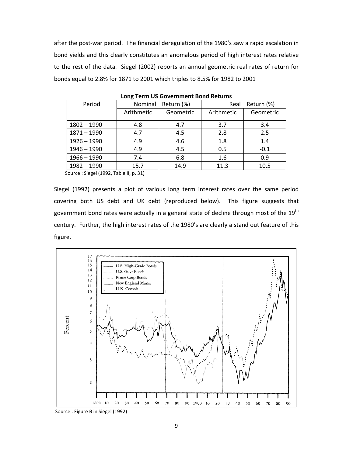after the post-war period. The financial deregulation of the 1980's saw a rapid escalation in bond yields and this clearly constitutes an anomalous period of high interest rates relative to the rest of the data. Siegel (2002) reports an annual geometric real rates of return for bonds equal to 2.8% for 1871 to 2001 which triples to 8.5% for 1982 to 2001

| Period        | Nominal<br>Return (%) |           | Return (%)<br>Real |           |
|---------------|-----------------------|-----------|--------------------|-----------|
|               | Arithmetic            | Geometric | Arithmetic         | Geometric |
| $1802 - 1990$ | 4.8                   | 4.7       | 3.7                | 3.4       |
| $1871 - 1990$ | 4.7                   | 4.5       | 2.8                | 2.5       |
| $1926 - 1990$ | 4.9                   | 4.6       | 1.8                | 1.4       |
| $1946 - 1990$ | 4.9                   | 4.5       | 0.5                | $-0.1$    |
| $1966 - 1990$ | 7.4                   | 6.8       | 1.6                | 0.9       |
| $1982 - 1990$ | 15.7                  | 14.9      | 11.3               | 10.5      |
|               |                       |           |                    |           |

**Long Term US Government Bond Returns**

Source : Siegel (1992, Table II, p. 31)

Siegel (1992) presents a plot of various long term interest rates over the same period covering both US debt and UK debt (reproduced below). This figure suggests that government bond rates were actually in a general state of decline through most of the 19<sup>th</sup> century. Further, the high interest rates of the 1980's are clearly a stand out feature of this figure.



Source : Figure B in Siegel (1992)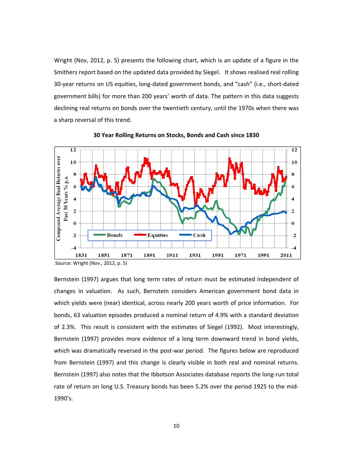Wright (Nov, 2012, p. 5) presents the following chart, which is an update of a figure in the Smithers report based on the updated data provided by Siegel. It shows realised real rolling 30‐year returns on US equities, long‐dated government bonds, and "cash" (i.e., short‐dated government bills) for more than 200 years' worth of data. The pattern in this data suggests declining real returns on bonds over the twentieth century, until the 1970s when there was a sharp reversal of this trend.



**30 Year Rolling Returns on Stocks, Bonds and Cash since 1830**

Bernstein (1997) argues that long term rates of return must be estimated independent of changes in valuation. As such, Bernstein considers American government bond data in which yields were (near) identical, across nearly 200 years worth of price information. For bonds, 63 valuation episodes produced a nominal return of 4.9% with a standard deviation of 2.3%. This result is consistent with the estimates of Siegel (1992). Most interestingly, Bernstein (1997) provides more evidence of a long term downward trend in bond yields, which was dramatically reversed in the post-war period. The figures below are reproduced from Bernstein (1997) and this change is clearly visible in both real and nominal returns. Bernstein (1997) also notes that the Ibbotson Associates database reports the long‐run total rate of return on long U.S. Treasury bonds has been 5.2% over the period 1925 to the mid‐ 1990's.

Source: Wright (Nov., 2012, p. 5)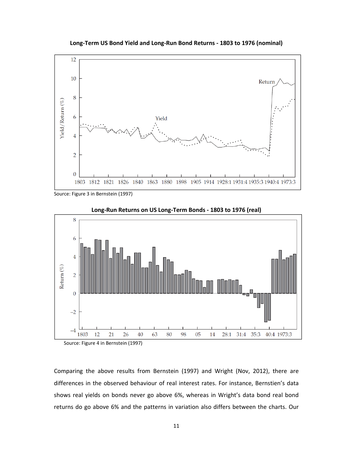

**Long‐Term US Bond Yield and Long‐Run Bond Returns ‐ 1803 to 1976 (nominal)**

Source: Figure 3 in Bernstein (1997)



**Long‐Run Returns on US Long‐Term Bonds ‐ 1803 to 1976 (real)**

Source: Figure 4 in Bernstein (1997)

Comparing the above results from Bernstein (1997) and Wright (Nov, 2012), there are differences in the observed behaviour of real interest rates. For instance, Bernstien's data shows real yields on bonds never go above 6%, whereas in Wright's data bond real bond returns do go above 6% and the patterns in variation also differs between the charts. Our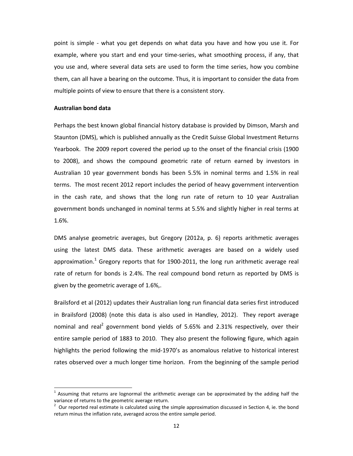point is simple ‐ what you get depends on what data you have and how you use it. For example, where you start and end your time‐series, what smoothing process, if any, that you use and, where several data sets are used to form the time series, how you combine them, can all have a bearing on the outcome. Thus, it is important to consider the data from multiple points of view to ensure that there is a consistent story.

#### **Australian bond data**

Perhaps the best known global financial history database is provided by Dimson, Marsh and Staunton (DMS), which is published annually as the Credit Suisse Global Investment Returns Yearbook. The 2009 report covered the period up to the onset of the financial crisis (1900 to 2008), and shows the compound geometric rate of return earned by investors in Australian 10 year government bonds has been 5.5% in nominal terms and 1.5% in real terms. The most recent 2012 report includes the period of heavy government intervention in the cash rate, and shows that the long run rate of return to 10 year Australian government bonds unchanged in nominal terms at 5.5% and slightly higher in real terms at 1.6%.

DMS analyse geometric averages, but Gregory (2012a, p. 6) reports arithmetic averages using the latest DMS data. These arithmetic averages are based on a widely used approximation.<sup>1</sup> Gregory reports that for 1900-2011, the long run arithmetic average real rate of return for bonds is 2.4%. The real compound bond return as reported by DMS is given by the geometric average of 1.6%,.

Brailsford et al (2012) updates their Australian long run financial data series first introduced in Brailsford (2008) (note this data is also used in Handley, 2012). They report average nominal and real<sup>2</sup> government bond yields of 5.65% and 2.31% respectively, over their entire sample period of 1883 to 2010. They also present the following figure, which again highlights the period following the mid‐1970's as anomalous relative to historical interest rates observed over a much longer time horizon. From the beginning of the sample period

 $<sup>1</sup>$  Assuming that returns are lognormal the arithmetic average can be approximated by the adding half the</sup> variance of returns to the geometric average return.

 $<sup>2</sup>$  Our reported real estimate is calculated using the simple approximation discussed in Section 4, ie. the bond</sup> return minus the inflation rate, averaged across the entire sample period.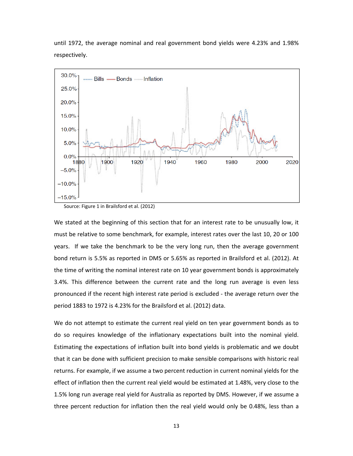until 1972, the average nominal and real government bond yields were 4.23% and 1.98% respectively.



Source: Figure 1 in Brailsford et al. (2012)

We stated at the beginning of this section that for an interest rate to be unusually low, it must be relative to some benchmark, for example, interest rates over the last 10, 20 or 100 years. If we take the benchmark to be the very long run, then the average government bond return is 5.5% as reported in DMS or 5.65% as reported in Brailsford et al. (2012). At the time of writing the nominal interest rate on 10 year government bonds is approximately 3.4%. This difference between the current rate and the long run average is even less pronounced if the recent high interest rate period is excluded ‐ the average return over the period 1883 to 1972 is 4.23% for the Brailsford et al. (2012) data.

We do not attempt to estimate the current real yield on ten year government bonds as to do so requires knowledge of the inflationary expectations built into the nominal yield. Estimating the expectations of inflation built into bond yields is problematic and we doubt that it can be done with sufficient precision to make sensible comparisons with historic real returns. For example, if we assume a two percent reduction in current nominal yields for the effect of inflation then the current real yield would be estimated at 1.48%, very close to the 1.5% long run average real yield for Australia as reported by DMS. However, if we assume a three percent reduction for inflation then the real yield would only be 0.48%, less than a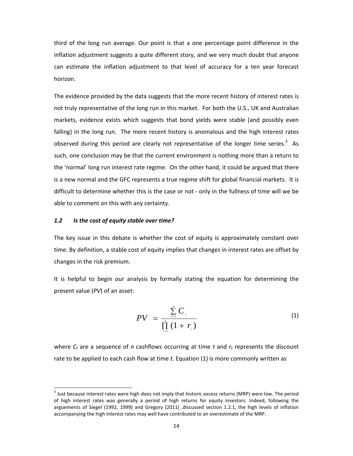third of the long run average. Our point is that a one percentage point difference in the inflation adjustment suggests a quite different story, and we very much doubt that anyone can estimate the inflation adjustment to that level of accuracy for a ten year forecast horizon.

The evidence provided by the data suggests that the more recent history of interest rates is not truly representative of the long run in this market. For both the U.S., UK and Australian markets, evidence exists which suggests that bond yields were stable (and possibly even falling) in the long run. The more recent history is anomalous and the high interest rates observed during this period are clearly not representative of the longer time series. $3$  As such, one conclusion may be that the current environment is nothing more than a return to the 'normal' long run interest rate regime. On the other hand, it could be argued that there is a new normal and the GFC represents a true regime shift for global financial markets. It is difficult to determine whether this is the case or not ‐ only in the fullness of time will we be able to comment on this with any certainty.

### *1.2 Is the cost of equity stable over time?*

The key issue in this debate is whether the cost of equity is approximately constant over time. By definition, a stable cost of equity implies that changes in interest rates are offset by changes in the risk premium.

It is helpful to begin our analysis by formally stating the equation for determining the present value (*PV*) of an asset:

$$
PV = \frac{\sum_{i=1}^{n} C_i}{\prod_{i=1}^{n} (1 + r_i)}
$$
 (1)

where  $C_t$  are a sequence of *n* cashflows occurring at time *t* and  $r_t$  represents the discount rate to be applied to each cash flow at time *t*. Equation (1) is more commonly written as

 $3$  Just because interest rates were high does not imply that historic excess returns (MRP) were low. The period of high interest rates was generally a period of high returns for equity investors. Indeed, following the arguements of Siegel (1992, 1999) and Gregory (2011) ,discussed section 1.2.1, the high levels of inflation accompanying the high interest rates may well have contributed to an overestimate of the MRP.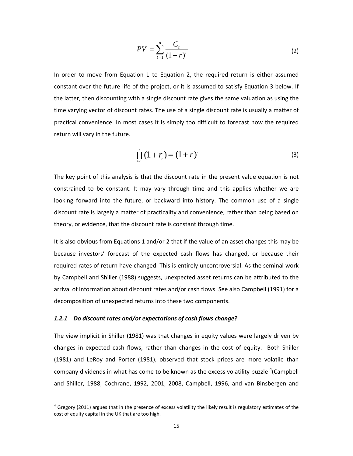$$
PV = \sum_{t=1}^{n} \frac{C_t}{(1+r)^t}
$$
 (2)

In order to move from Equation 1 to Equation 2, the required return is either assumed constant over the future life of the project, or it is assumed to satisfy Equation 3 below. If the latter, then discounting with a single discount rate gives the same valuation as using the time varying vector of discount rates. The use of a single discount rate is usually a matter of practical convenience. In most cases it is simply too difficult to forecast how the required return will vary in the future.

$$
\prod_{i=1}^{n} (1+r_i) = (1+r)^{t}
$$
 (3)

The key point of this analysis is that the discount rate in the present value equation is not constrained to be constant. It may vary through time and this applies whether we are looking forward into the future, or backward into history. The common use of a single discount rate is largely a matter of practicality and convenience, rather than being based on theory, or evidence, that the discount rate is constant through time.

It is also obvious from Equations 1 and/or 2 that if the value of an asset changes this may be because investors' forecast of the expected cash flows has changed, or because their required rates of return have changed. This is entirely uncontroversial. As the seminal work by Campbell and Shiller (1988) suggests, unexpected asset returns can be attributed to the arrival of information about discount rates and/or cash flows. See also Campbell (1991) for a decomposition of unexpected returns into these two components.

## *1.2.1 Do discount rates and/or expectations of cash flows change?*

The view implicit in Shiller (1981) was that changes in equity values were largely driven by changes in expected cash flows, rather than changes in the cost of equity. Both Shiller (1981) and LeRoy and Porter (1981), observed that stock prices are more volatile than company dividends in what has come to be known as the excess volatility puzzle  $^4$ (Campbell and Shiller, 1988, Cochrane, 1992, 2001, 2008, Campbell, 1996, and van Binsbergen and

 $4$  Gregory (2011) argues that in the presence of excess volatility the likely result is regulatory estimates of the cost of equity capital in the UK that are too high.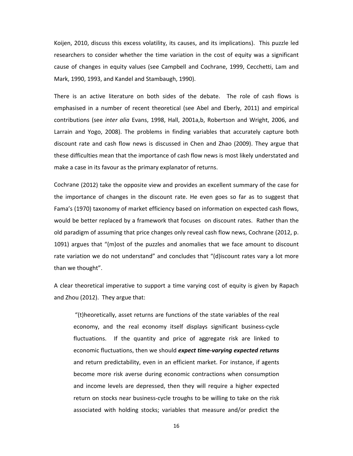Koijen, 2010, discuss this excess volatility, its causes, and its implications). This puzzle led researchers to consider whether the time variation in the cost of equity was a significant cause of changes in equity values (see Campbell and Cochrane, 1999, Cecchetti, Lam and Mark, 1990, 1993, and Kandel and Stambaugh, 1990).

There is an active literature on both sides of the debate. The role of cash flows is emphasised in a number of recent theoretical (see Abel and Eberly, 2011) and empirical contributions (see *inter alia* Evans, 1998, Hall, 2001a,b, Robertson and Wright, 2006, and Larrain and Yogo, 2008). The problems in finding variables that accurately capture both discount rate and cash flow news is discussed in Chen and Zhao (2009). They argue that these difficulties mean that the importance of cash flow news is most likely understated and make a case in its favour as the primary explanator of returns.

Cochrane (2012) take the opposite view and provides an excellent summary of the case for the importance of changes in the discount rate. He even goes so far as to suggest that Fama's (1970) taxonomy of market efficiency based on information on expected cash flows, would be better replaced by a framework that focuses on discount rates. Rather than the old paradigm of assuming that price changes only reveal cash flow news, Cochrane (2012, p. 1091) argues that "(m)ost of the puzzles and anomalies that we face amount to discount rate variation we do not understand" and concludes that "(d)iscount rates vary a lot more than we thought".

A clear theoretical imperative to support a time varying cost of equity is given by Rapach and Zhou (2012). They argue that:

"(t)heoretically, asset returns are functions of the state variables of the real economy, and the real economy itself displays significant business‐cycle fluctuations. If the quantity and price of aggregate risk are linked to economic fluctuations, then we should *expect time‐varying expected returns* and return predictability, even in an efficient market. For instance, if agents become more risk averse during economic contractions when consumption and income levels are depressed, then they will require a higher expected return on stocks near business‐cycle troughs to be willing to take on the risk associated with holding stocks; variables that measure and/or predict the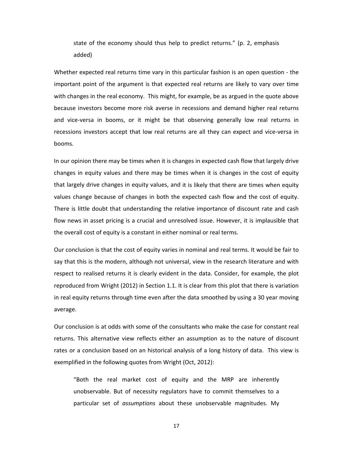state of the economy should thus help to predict returns." (p. 2, emphasis added)

Whether expected real returns time vary in this particular fashion is an open question ‐ the important point of the argument is that expected real returns are likely to vary over time with changes in the real economy. This might, for example, be as argued in the quote above because investors become more risk averse in recessions and demand higher real returns and vice-versa in booms, or it might be that observing generally low real returns in recessions investors accept that low real returns are all they can expect and vice-versa in booms.

In our opinion there may be times when it is changes in expected cash flow that largely drive changes in equity values and there may be times when it is changes in the cost of equity that largely drive changes in equity values, and it is likely that there are times when equity values change because of changes in both the expected cash flow and the cost of equity. There is little doubt that understanding the relative importance of discount rate and cash flow news in asset pricing is a crucial and unresolved issue. However, it is implausible that the overall cost of equity is a constant in either nominal or real terms.

Our conclusion is that the cost of equity varies in nominal and real terms. It would be fair to say that this is the modern, although not universal, view in the research literature and with respect to realised returns it is clearly evident in the data. Consider, for example, the plot reproduced from Wright (2012) in Section 1.1. It is clear from this plot that there is variation in real equity returns through time even after the data smoothed by using a 30 year moving average.

Our conclusion is at odds with some of the consultants who make the case for constant real returns. This alternative view reflects either an assumption as to the nature of discount rates or a conclusion based on an historical analysis of a long history of data. This view is exemplified in the following quotes from Wright (Oct, 2012):

"Both the real market cost of equity and the MRP are inherently unobservable. But of necessity regulators have to commit themselves to a particular set of *assumptions* about these unobservable magnitudes. My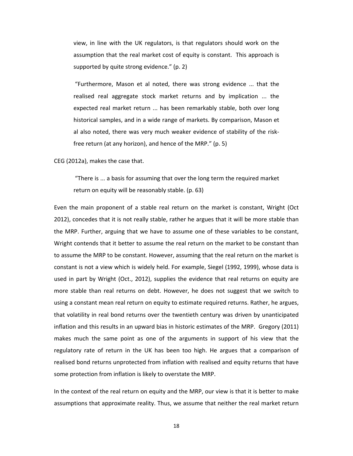view, in line with the UK regulators, is that regulators should work on the assumption that the real market cost of equity is constant. This approach is supported by quite strong evidence." (p. 2)

"Furthermore, Mason et al noted, there was strong evidence ... that the realised real aggregate stock market returns and by implication ... the expected real market return ... has been remarkably stable, both over long historical samples, and in a wide range of markets. By comparison, Mason et al also noted, there was very much weaker evidence of stability of the risk‐ free return (at any horizon), and hence of the MRP." (p. 5)

CEG (2012a), makes the case that.

"There is ... a basis for assuming that over the long term the required market return on equity will be reasonably stable. (p. 63)

Even the main proponent of a stable real return on the market is constant, Wright (Oct 2012), concedes that it is not really stable, rather he argues that it will be more stable than the MRP. Further, arguing that we have to assume one of these variables to be constant, Wright contends that it better to assume the real return on the market to be constant than to assume the MRP to be constant. However, assuming that the real return on the market is constant is not a view which is widely held. For example, Siegel (1992, 1999), whose data is used in part by Wright (Oct., 2012), supplies the evidence that real returns on equity are more stable than real returns on debt. However, he does not suggest that we switch to using a constant mean real return on equity to estimate required returns. Rather, he argues, that volatility in real bond returns over the twentieth century was driven by unanticipated inflation and this results in an upward bias in historic estimates of the MRP. Gregory (2011) makes much the same point as one of the arguments in support of his view that the regulatory rate of return in the UK has been too high. He argues that a comparison of realised bond returns unprotected from inflation with realised and equity returns that have some protection from inflation is likely to overstate the MRP.

In the context of the real return on equity and the MRP, our view is that it is better to make assumptions that approximate reality. Thus, we assume that neither the real market return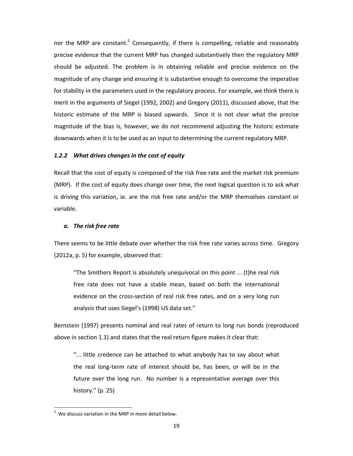nor the MRP are constant.<sup>5</sup> Consequently, if there is compelling, reliable and reasonably precise evidence that the current MRP has changed substantively then the regulatory MRP should be adjusted. The problem is in obtaining reliable and precise evidence on the magnitude of any change and ensuring it is substantive enough to overcome the imperative for stability in the parameters used in the regulatory process. For example, we think there is merit in the arguments of Siegel (1992, 2002) and Gregory (2011), discussed above, that the historic estimate of the MRP is biased upwards. Since it is not clear what the precise magnitude of the bias is, however, we do not recommend adjusting the historic estimate downwards when it is to be used as an input to determining the current regulatory MRP.

## *1.2.2 What drives changes in the cost of equity*

Recall that the cost of equity is composed of the risk free rate and the market risk premium (MRP). If the cost of equity does change over time, the next logical question is to ask what is driving this variation, ie. are the risk free rate and/or the MRP themselves constant or variable.

#### *a. The risk free rate*

There seems to be little debate over whether the risk free rate varies across time. Gregory (2012a, p. 5) for example, observed that:

"The Smithers Report is absolutely unequivocal on this point ... (t)he real risk free rate does not have a stable mean, based on both the international evidence on the cross-section of real risk free rates, and on a very long run analysis that uses Siegel's (1998) US data set."

Bernstein (1997) presents nominal and real rates of return to long run bonds (reproduced above in section 1.1) and states that the real return figure makes it clear that:

"... little credence can be attached to what anybody has to say about what the real long‐term rate of interest should be, has been, or will be in the future over the long run. No number is a representative average over this history." (p. 25)

 $5$  We discuss variation in the MRP in more detail below.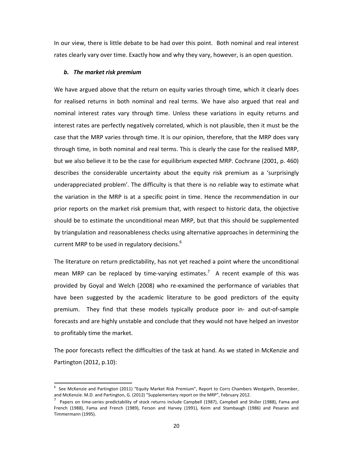In our view, there is little debate to be had over this point. Both nominal and real interest rates clearly vary over time. Exactly how and why they vary, however, is an open question.

#### *b. The market risk premium*

We have argued above that the return on equity varies through time, which it clearly does for realised returns in both nominal and real terms. We have also argued that real and nominal interest rates vary through time. Unless these variations in equity returns and interest rates are perfectly negatively correlated, which is not plausible, then it must be the case that the MRP varies through time. It is our opinion, therefore, that the MRP does vary through time, in both nominal and real terms. This is clearly the case for the realised MRP, but we also believe it to be the case for equilibrium expected MRP. Cochrane (2001, p. 460) describes the considerable uncertainty about the equity risk premium as a 'surprisingly underappreciated problem'. The difficulty is that there is no reliable way to estimate what the variation in the MRP is at a specific point in time. Hence the recommendation in our prior reports on the market risk premium that, with respect to historic data, the objective should be to estimate the unconditional mean MRP, but that this should be supplemented by triangulation and reasonableness checks using alternative approaches in determining the current MRP to be used in regulatory decisions.<sup>6</sup>

The literature on return predictability, has not yet reached a point where the unconditional mean MRP can be replaced by time-varying estimates.<sup>7</sup> A recent example of this was provided by Goyal and Welch (2008) who re‐examined the performance of variables that have been suggested by the academic literature to be good predictors of the equity premium. They find that these models typically produce poor in‐ and out‐of‐sample forecasts and are highly unstable and conclude that they would not have helped an investor to profitably time the market.

The poor forecasts reflect the difficulties of the task at hand. As we stated in McKenzie and Partington (2012, p.10):

<sup>6</sup> See McKenzie and Partington (2011) "Equity Market Risk Premium", Report to Corrs Chambers Westgarth, December, and McKenzie. M.D. and Partington, G. (2012) "Supplementary report on the MRP", February 2012.

<sup>7</sup> Papers on time-series predictability of stock returns include Campbell (1987), Campbell and Shiller (1988), Fama and French (1988), Fama and French (1989), Ferson and Harvey (1991), Keim and Stambaugh (1986) and Pesaran and Timmermann (1995).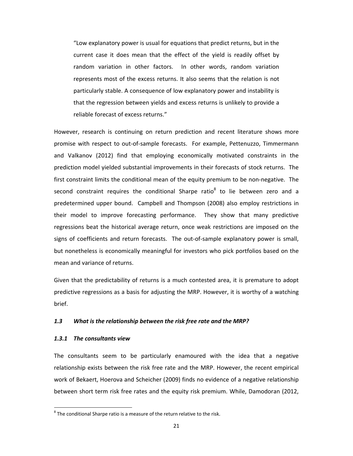"Low explanatory power is usual for equations that predict returns, but in the current case it does mean that the effect of the yield is readily offset by random variation in other factors. In other words, random variation represents most of the excess returns. It also seems that the relation is not particularly stable. A consequence of low explanatory power and instability is that the regression between yields and excess returns is unlikely to provide a reliable forecast of excess returns."

However, research is continuing on return prediction and recent literature shows more promise with respect to out‐of‐sample forecasts. For example, Pettenuzzo, Timmermann and Valkanov (2012) find that employing economically motivated constraints in the prediction model yielded substantial improvements in their forecasts of stock returns. The first constraint limits the conditional mean of the equity premium to be non‐negative. The second constraint requires the conditional Sharpe ratio $8$  to lie between zero and a predetermined upper bound. Campbell and Thompson (2008) also employ restrictions in their model to improve forecasting performance. They show that many predictive regressions beat the historical average return, once weak restrictions are imposed on the signs of coefficients and return forecasts. The out-of-sample explanatory power is small, but nonetheless is economically meaningful for investors who pick portfolios based on the mean and variance of returns.

Given that the predictability of returns is a much contested area, it is premature to adopt predictive regressions as a basis for adjusting the MRP. However, it is worthy of a watching brief.

## *1.3 What is the relationship between the risk free rate and the MRP?*

#### *1.3.1 The consultants view*

The consultants seem to be particularly enamoured with the idea that a negative relationship exists between the risk free rate and the MRP. However, the recent empirical work of Bekaert, Hoerova and Scheicher (2009) finds no evidence of a negative relationship between short term risk free rates and the equity risk premium. While, Damodoran (2012,

 $8$  The conditional Sharpe ratio is a measure of the return relative to the risk.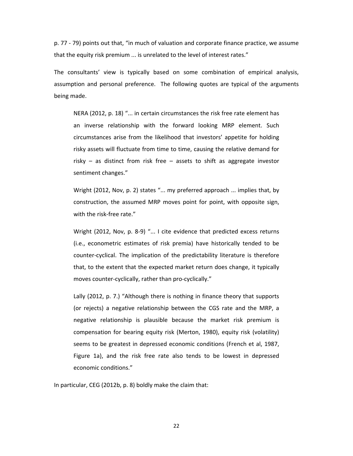p. 77 ‐ 79) points out that, "in much of valuation and corporate finance practice, we assume that the equity risk premium ... is unrelated to the level of interest rates."

The consultants' view is typically based on some combination of empirical analysis, assumption and personal preference. The following quotes are typical of the arguments being made.

NERA (2012, p. 18) "... in certain circumstances the risk free rate element has an inverse relationship with the forward looking MRP element. Such circumstances arise from the likelihood that investors' appetite for holding risky assets will fluctuate from time to time, causing the relative demand for risky – as distinct from risk free – assets to shift as aggregate investor sentiment changes."

Wright (2012, Nov, p. 2) states "... my preferred approach ... implies that, by construction, the assumed MRP moves point for point, with opposite sign, with the risk-free rate."

Wright (2012, Nov, p. 8-9) "... I cite evidence that predicted excess returns (i.e., econometric estimates of risk premia) have historically tended to be counter‐cyclical. The implication of the predictability literature is therefore that, to the extent that the expected market return does change, it typically moves counter‐cyclically, rather than pro‐cyclically."

Lally (2012, p. 7.) "Although there is nothing in finance theory that supports (or rejects) a negative relationship between the CGS rate and the MRP, a negative relationship is plausible because the market risk premium is compensation for bearing equity risk (Merton, 1980), equity risk (volatility) seems to be greatest in depressed economic conditions (French et al, 1987, Figure 1a), and the risk free rate also tends to be lowest in depressed economic conditions."

In particular, CEG (2012b, p. 8) boldly make the claim that: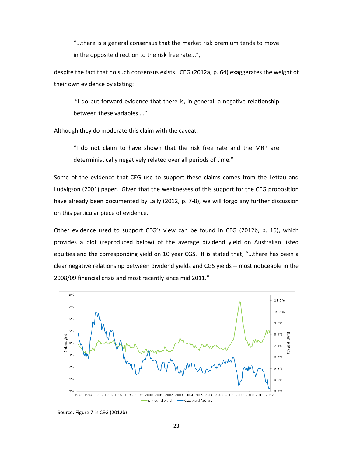"...there is a general consensus that the market risk premium tends to move in the opposite direction to the risk free rate...",

despite the fact that no such consensus exists. CEG (2012a, p. 64) exaggerates the weight of their own evidence by stating:

"I do put forward evidence that there is, in general, a negative relationship between these variables ..."

Although they do moderate this claim with the caveat:

"I do not claim to have shown that the risk free rate and the MRP are deterministically negatively related over all periods of time."

Some of the evidence that CEG use to support these claims comes from the Lettau and Ludvigson (2001) paper. Given that the weaknesses of this support for the CEG proposition have already been documented by Lally (2012, p. 7‐8), we will forgo any further discussion on this particular piece of evidence.

Other evidence used to support CEG's view can be found in CEG (2012b, p. 16), which provides a plot (reproduced below) of the average dividend yield on Australian listed equities and the corresponding yield on 10 year CGS. It is stated that, "...there has been a clear negative relationship between dividend yields and CGS yields – most noticeable in the 2008/09 financial crisis and most recently since mid 2011."



Source: Figure 7 in CEG (2012b)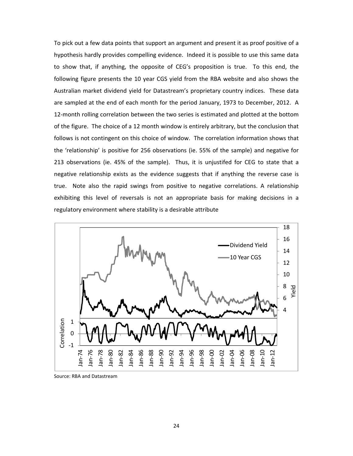To pick out a few data points that support an argument and present it as proof positive of a hypothesis hardly provides compelling evidence. Indeed it is possible to use this same data to show that, if anything, the opposite of CEG's proposition is true. To this end, the following figure presents the 10 year CGS yield from the RBA website and also shows the Australian market dividend yield for Datastream's proprietary country indices. These data are sampled at the end of each month for the period January, 1973 to December, 2012. A 12-month rolling correlation between the two series is estimated and plotted at the bottom of the figure. The choice of a 12 month window is entirely arbitrary, but the conclusion that follows is not contingent on this choice of window. The correlation information shows that the 'relationship' is positive for 256 observations (ie. 55% of the sample) and negative for observations (ie. 45% of the sample). Thus, it is unjustifed for CEG to state that a negative relationship exists as the evidence suggests that if anything the reverse case is true. Note also the rapid swings from positive to negative correlations. A relationship exhibiting this level of reversals is not an appropriate basis for making decisions in a regulatory environment where stability is a desirable attribute



Source: RBA and Datastream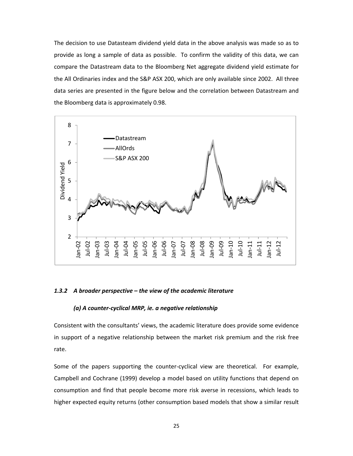The decision to use Datasteam dividend yield data in the above analysis was made so as to provide as long a sample of data as possible. To confirm the validity of this data, we can compare the Datastream data to the Bloomberg Net aggregate dividend yield estimate for the All Ordinaries index and the S&P ASX 200, which are only available since 2002. All three data series are presented in the figure below and the correlation between Datastream and the Bloomberg data is approximately 0.98.



#### *1.3.2 A broader perspective – the view of the academic literature*

## *(a) A counter‐cyclical MRP, ie. a negative relationship*

Consistent with the consultants' views, the academic literature does provide some evidence in support of a negative relationship between the market risk premium and the risk free rate.

Some of the papers supporting the counter-cyclical view are theoretical. For example, Campbell and Cochrane (1999) develop a model based on utility functions that depend on consumption and find that people become more risk averse in recessions, which leads to higher expected equity returns (other consumption based models that show a similar result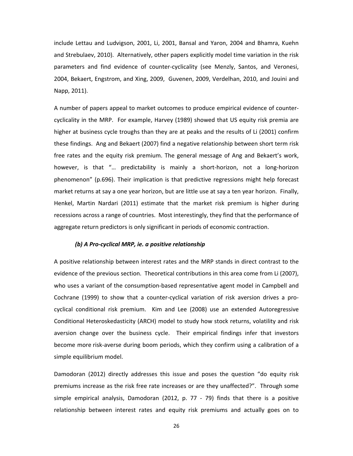include Lettau and Ludvigson, 2001, Li, 2001, Bansal and Yaron, 2004 and Bhamra, Kuehn and Strebulaev, 2010). Alternatively, other papers explicitly model time variation in the risk parameters and find evidence of counter‐cyclicality (see Menzly, Santos, and Veronesi, 2004, Bekaert, Engstrom, and Xing, 2009, Guvenen, 2009, Verdelhan, 2010, and Jouini and Napp, 2011).

A number of papers appeal to market outcomes to produce empirical evidence of counter‐ cyclicality in the MRP. For example, Harvey (1989) showed that US equity risk premia are higher at business cycle troughs than they are at peaks and the results of Li (2001) confirm these findings. Ang and Bekaert (2007) find a negative relationship between short term risk free rates and the equity risk premium. The general message of Ang and Bekaert's work, however, is that "... predictability is mainly a short-horizon, not a long-horizon phenomenon" (p.696). Their implication is that predictive regressions might help forecast market returns at say a one year horizon, but are little use at say a ten year horizon. Finally, Henkel, Martin Nardari (2011) estimate that the market risk premium is higher during recessions across a range of countries. Most interestingly, they find that the performance of aggregate return predictors is only significant in periods of economic contraction.

#### *(b) A Pro‐cyclical MRP, ie. a positive relationship*

A positive relationship between interest rates and the MRP stands in direct contrast to the evidence of the previous section. Theoretical contributions in this area come from Li (2007), who uses a variant of the consumption‐based representative agent model in Campbell and Cochrane (1999) to show that a counter‐cyclical variation of risk aversion drives a pro‐ cyclical conditional risk premium. Kim and Lee (2008) use an extended Autoregressive Conditional Heteroskedasticity (ARCH) model to study how stock returns, volatility and risk aversion change over the business cycle. Their empirical findings infer that investors become more risk‐averse during boom periods, which they confirm using a calibration of a simple equilibrium model.

Damodoran (2012) directly addresses this issue and poses the question "do equity risk premiums increase as the risk free rate increases or are they unaffected?". Through some simple empirical analysis, Damodoran (2012, p. 77 - 79) finds that there is a positive relationship between interest rates and equity risk premiums and actually goes on to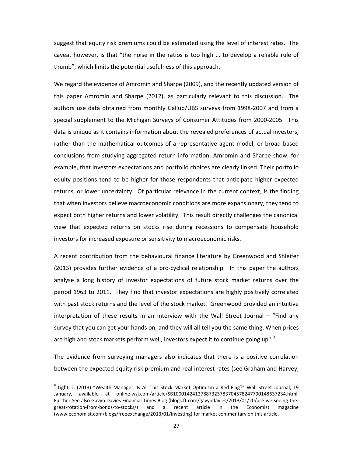suggest that equity risk premiums could be estimated using the level of interest rates. The caveat however, is that "the noise in the ratios is too high ... to develop a reliable rule of thumb", which limits the potential usefulness of this approach.

We regard the evidence of Amromin and Sharpe (2009), and the recently updated version of this paper Amromin and Sharpe (2012), as particularly relevant to this discussion. The authors use data obtained from monthly Gallup/UBS surveys from 1998‐2007 and from a special supplement to the Michigan Surveys of Consumer Attitudes from 2000-2005. This data is unique as it contains information about the revealed preferences of actual investors, rather than the mathematical outcomes of a representative agent model, or broad based conclusions from studying aggregated return information. Amromin and Sharpe show, for example, that investors expectations and portfolio choices are clearly linked. Their portfolio equity positions tend to be higher for those respondents that anticipate higher expected returns, or lower uncertainty. Of particular relevance in the current context, is the finding that when investors believe macroeconomic conditions are more expansionary, they tend to expect both higher returns and lower volatility. This result directly challenges the canonical view that expected returns on stocks rise during recessions to compensate household investors for increased exposure or sensitivity to macroeconomic risks.

A recent contribution from the behavioural finance literature by Greenwood and Shleifer (2013) provides further evidence of a pro-cyclical relationship. In this paper the authors analyse a long history of investor expectations of future stock market returns over the period 1963 to 2011. They find that investor expectations are highly positively correlated with past stock returns and the level of the stock market. Greenwood provided an intuitive interpretation of these results in an interview with the Wall Street Journal – "Find any survey that you can get your hands on, and they will all tell you the same thing. When prices are high and stock markets perform well, investors expect it to continue going up". $9$ 

The evidence from surveying managers also indicates that there is a positive correlation between the expected equity risk premium and real interest rates (see Graham and Harvey,

 $9$  Light, J. (2013) "Wealth Manager: Is All This Stock Market Optimism a Red Flag?" Wall Street Journal, 19 January, available at online.wsj.com/article/SB10001424127887323783704578247790148637234.html. Further See also Gavyn Davies Financial Times Blog (blogs.ft.com/gavyndavies/2013/01/20/are‐we‐seeing‐the‐ great-rotation-from-bonds-to-stocks/) and a recent article in the Economist magazine (www.economist.com/blogs/freeexchange/2013/01/investing) for market commentary on this article.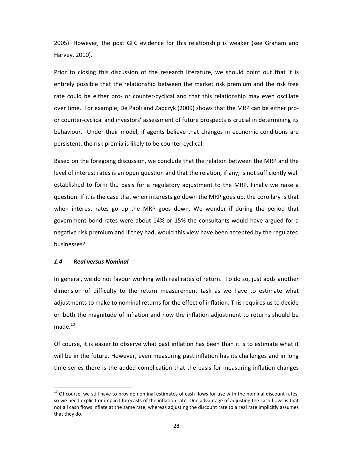2005). However, the post GFC evidence for this relationship is weaker (see Graham and Harvey, 2010).

Prior to closing this discussion of the research literature, we should point out that it is entirely possible that the relationship between the market risk premium and the risk free rate could be either pro- or counter-cyclical and that this relationship may even oscillate over time. For example, De Paoli and Zabczyk (2009) shows that the MRP can be either pro‐ or counter‐cyclical and investors' assessment of future prospects is crucial in determining its behaviour. Under their model, if agents believe that changes in economic conditions are persistent, the risk premia is likely to be counter‐cyclical.

Based on the foregoing discussion, we conclude that the relation between the MRP and the level of interest rates is an open question and that the relation, if any, is not sufficiently well established to form the basis for a regulatory adjustment to the MRP. Finally we raise a question. If it is the case that when interests go down the MRP goes up, the corollary is that when interest rates go up the MRP goes down. We wonder if during the period that government bond rates were about 14% or 15% the consultants would have argued for a negative risk premium and if they had, would this view have been accepted by the regulated businesses?

#### *1.4 Real versus Nominal*

In general, we do not favour working with real rates of return. To do so, just adds another dimension of difficulty to the return measurement task as we have to estimate what adjustments to make to nominal returns for the effect of inflation. This requires us to decide on both the magnitude of inflation and how the inflation adjustment to returns should be made.<sup>10</sup>

Of course, it is easier to observe what past inflation has been than it is to estimate what it will be in the future. However, even measuring past inflation has its challenges and in long time series there is the added complication that the basis for measuring inflation changes

 $10$  Of course, we still have to provide nominal estimates of cash flows for use with the nominal discount rates, so we need explicit or implicit forecasts of the inflation rate. One advantage of adjusting the cash flows is that not all cash flows inflate at the same rate, whereas adjusting the discount rate to a real rate implicitly assumes that they do.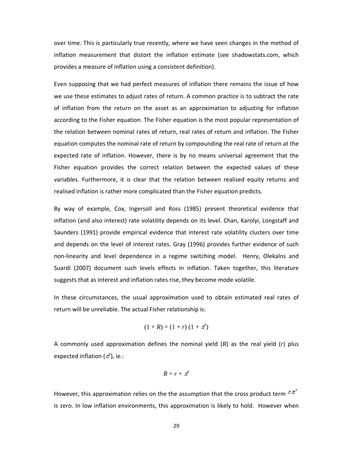over time. This is particularly true recently, where we have seen changes in the method of inflation measurement that distort the inflation estimate (see shadowstats.com, which provides a measure of inflation using a consistent definition).

Even supposing that we had perfect measures of inflation there remains the issue of how we use these estimates to adjust rates of return. A common practice is to subtract the rate of inflation from the return on the asset as an approximation to adjusting for inflation according to the Fisher equation. The Fisher equation is the most popular representation of the relation between nominal rates of return, real rates of return and inflation. The Fisher equation computes the nominal rate of return by compounding the real rate of return at the expected rate of inflation. However, there is by no means universal agreement that the Fisher equation provides the correct relation between the expected values of these variables. Furthermore, it is clear that the relation between realised equity returns and realised inflation is rather more complicated than the Fisher equation predicts.

By way of example, Cox, Ingersoll and Ross (1985) present theoretical evidence that inflation (and also interest) rate volatility depends on its level. Chan, Karolyi, Longstaff and Saunders (1991) provide empirical evidence that interest rate volatility clusters over time and depends on the level of interest rates. Gray (1996) provides further evidence of such non‐linearity and level dependence in a regime switching model. Henry, Olekalns and Suardi (2007) document such levels effects in inflation. Taken together, this literature suggests that as interest and inflation rates rise, they become mode volatile.

In these circumstances, the usual approximation used to obtain estimated real rates of return will be unreliable. The actual Fisher relationship is:

$$
(1 + R) = (1 + r) (1 + \pi^e)
$$

A commonly used approximation defines the nominal yield (*R*) as the real yield (*r*) plus expected inflation ( $\pi^e$ ), ie.:

$$
R=r+\pi^e
$$

However, this approximation relies on the the assumption that the cross product term  $r\pi<sup>e</sup>$ is zero. In low inflation environments, this approximation is likely to hold. However when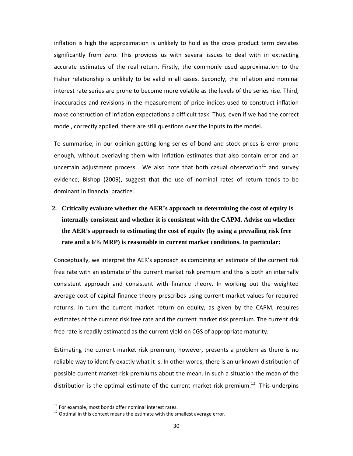inflation is high the approximation is unlikely to hold as the cross product term deviates significantly from zero. This provides us with several issues to deal with in extracting accurate estimates of the real return. Firstly, the commonly used approximation to the Fisher relationship is unlikely to be valid in all cases. Secondly, the inflation and nominal interest rate series are prone to become more volatile as the levels of the series rise. Third, inaccuracies and revisions in the measurement of price indices used to construct inflation make construction of inflation expectations a difficult task. Thus, even if we had the correct model, correctly applied, there are still questions over the inputs to the model.

To summarise, in our opinion getting long series of bond and stock prices is error prone enough, without overlaying them with inflation estimates that also contain error and an uncertain adjustment process. We also note that both casual observation $^{11}$  and survey evidence, Bishop (2009), suggest that the use of nominal rates of return tends to be dominant in financial practice.

**2. Critically evaluate whether the AER's approach to determining the cost of equity is internally consistent and whether it is consistent with the CAPM. Advise on whether the AER's approach to estimating the cost of equity (by using a prevailing risk free rate and a 6% MRP) is reasonable in current market conditions. In particular:** 

Conceptually, we interpret the AER's approach as combining an estimate of the current risk free rate with an estimate of the current market risk premium and this is both an internally consistent approach and consistent with finance theory. In working out the weighted average cost of capital finance theory prescribes using current market values for required returns. In turn the current market return on equity, as given by the CAPM, requires estimates of the current risk free rate and the current market risk premium. The current risk free rate is readily estimated as the current yield on CGS of appropriate maturity.

Estimating the current market risk premium, however, presents a problem as there is no reliable way to identify exactly what it is. In other words, there is an unknown distribution of possible current market risk premiums about the mean. In such a situation the mean of the distribution is the optimal estimate of the current market risk premium.<sup>12</sup> This underpins

<sup>&</sup>lt;sup>11</sup> For example, most bonds offer nominal interest rates.

 $12$  Optimal in this context means the estimate with the smallest average error.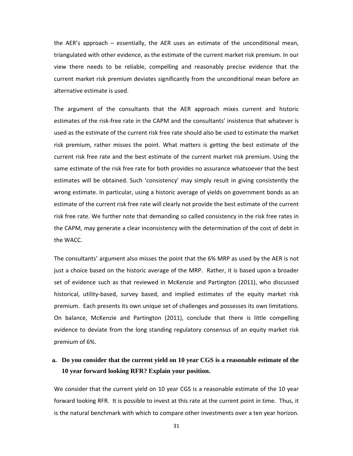the AER's approach – essentially, the AER uses an estimate of the unconditional mean, triangulated with other evidence, as the estimate of the current market risk premium. In our view there needs to be reliable, compelling and reasonably precise evidence that the current market risk premium deviates significantly from the unconditional mean before an alternative estimate is used.

The argument of the consultants that the AER approach mixes current and historic estimates of the risk-free rate in the CAPM and the consultants' insistence that whatever is used as the estimate of the current risk free rate should also be used to estimate the market risk premium, rather misses the point. What matters is getting the best estimate of the current risk free rate and the best estimate of the current market risk premium. Using the same estimate of the risk free rate for both provides no assurance whatsoever that the best estimates will be obtained. Such 'consistency' may simply result in giving consistently the wrong estimate. In particular, using a historic average of yields on government bonds as an estimate of the current risk free rate will clearly not provide the best estimate of the current risk free rate. We further note that demanding so called consistency in the risk free rates in the CAPM, may generate a clear inconsistency with the determination of the cost of debt in the WACC.

The consultants' argument also misses the point that the 6% MRP as used by the AER is not just a choice based on the historic average of the MRP. Rather, it is based upon a broader set of evidence such as that reviewed in McKenzie and Partington (2011), who discussed historical, utility‐based, survey based, and implied estimates of the equity market risk premium. Each presents its own unique set of challenges and possesses its own limitations. On balance, McKenzie and Partington (2011), conclude that there is little compelling evidence to deviate from the long standing regulatory consensus of an equity market risk premium of 6%.

# **a. Do you consider that the current yield on 10 year CGS is a reasonable estimate of the 10 year forward looking RFR? Explain your position.**

We consider that the current yield on 10 year CGS is a reasonable estimate of the 10 year forward looking RFR. It is possible to invest at this rate at the current point in time. Thus, it is the natural benchmark with which to compare other investments over a ten year horizon.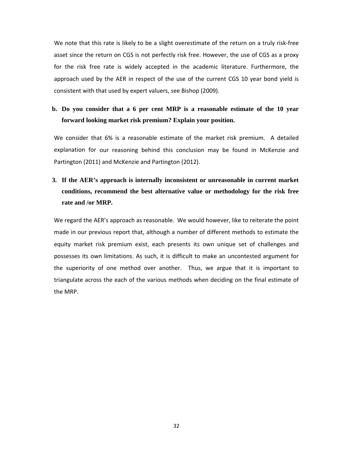We note that this rate is likely to be a slight overestimate of the return on a truly risk-free asset since the return on CGS is not perfectly risk free. However, the use of CGS as a proxy for the risk free rate is widely accepted in the academic literature. Furthermore, the approach used by the AER in respect of the use of the current CGS 10 year bond yield is consistent with that used by expert valuers, see Bishop (2009).

# **b. Do you consider that a 6 per cent MRP is a reasonable estimate of the 10 year forward looking market risk premium? Explain your position.**

We consider that 6% is a reasonable estimate of the market risk premium. A detailed explanation for our reasoning behind this conclusion may be found in McKenzie and Partington (2011) and McKenzie and Partington (2012).

# **3. If the AER's approach is internally inconsistent or unreasonable in current market conditions, recommend the best alternative value or methodology for the risk free rate and /or MRP.**

We regard the AER's approach as reasonable. We would however, like to reiterate the point made in our previous report that, although a number of different methods to estimate the equity market risk premium exist, each presents its own unique set of challenges and possesses its own limitations. As such, it is difficult to make an uncontested argument for the superiority of one method over another. Thus, we argue that it is important to triangulate across the each of the various methods when deciding on the final estimate of the MRP.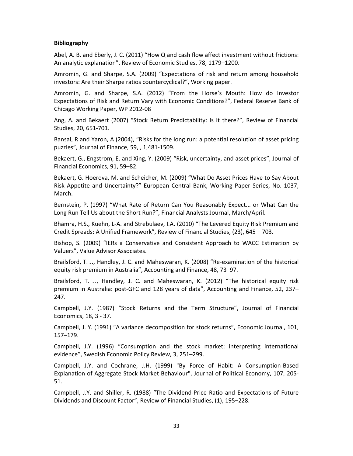# **Bibliography**

Abel, A. B. and Eberly, J. C. (2011) "How Q and cash flow affect investment without frictions: An analytic explanation", Review of Economic Studies, 78, 1179–1200.

Amromin, G. and Sharpe, S.A. (2009) "Expectations of risk and return among household investors: Are their Sharpe ratios countercyclical?", Working paper.

Amromin, G. and Sharpe, S.A. (2012) "From the Horse's Mouth: How do Investor Expectations of Risk and Return Vary with Economic Conditions?", Federal Reserve Bank of Chicago Working Paper, WP 2012‐08

Ang, A. and Bekaert (2007) "Stock Return Predictability: Is it there?", Review of Financial Studies, 20, 651‐701.

Bansal, R and Yaron, A (2004), "Risks for the long run: a potential resolution of asset pricing puzzles", Journal of Finance, 59, , 1,481‐1509.

Bekaert, G., Engstrom, E. and Xing, Y. (2009) "Risk, uncertainty, and asset prices", Journal of Financial Economics, 91, 59–82.

Bekaert, G. Hoerova, M. and Scheicher, M. (2009) "What Do Asset Prices Have to Say About Risk Appetite and Uncertainty?" European Central Bank, Working Paper Series, No. 1037, March.

Bernstein, P. (1997) "What Rate of Return Can You Reasonably Expect... or What Can the Long Run Tell Us about the Short Run?", Financial Analysts Journal, March/April.

Bhamra, H.S., Kuehn, L‐A. and Strebulaev, I.A. (2010) "The Levered Equity Risk Premium and Credit Spreads: A Unified Framework", Review of Financial Studies, (23), 645 – 703.

Bishop, S. (2009) "IERs a Conservative and Consistent Approach to WACC Estimation by Valuers", Value Advisor Associates.

Brailsford, T. J., Handley, J. C. and Maheswaran, K. (2008) "Re‐examination of the historical equity risk premium in Australia", Accounting and Finance, 48, 73–97.

Brailsford, T. J., Handley, J. C. and Maheswaran, K. (2012) "The historical equity risk premium in Australia: post‐GFC and 128 years of data", Accounting and Finance, 52, 237– 247.

Campbell, J.Y. (1987) "Stock Returns and the Term Structure", Journal of Financial Economics, 18, 3 ‐ 37.

Campbell, J. Y. (1991) "A variance decomposition for stock returns", Economic Journal, 101, 157–179.

Campbell, J.Y. (1996) "Consumption and the stock market: interpreting international evidence", Swedish Economic Policy Review, 3, 251–299.

Campbell, J.Y. and Cochrane, J.H. (1999) "By Force of Habit: A Consumption‐Based Explanation of Aggregate Stock Market Behaviour", Journal of Political Economy, 107, 205‐ 51.

Campbell, J.Y. and Shiller, R. (1988) "The Dividend‐Price Ratio and Expectations of Future Dividends and Discount Factor", Review of Financial Studies, (1), 195–228.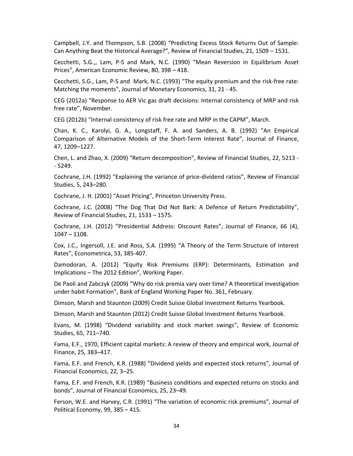Campbell, J.Y. and Thompson, S.B. (2008) "Predicting Excess Stock Returns Out of Sample: Can Anything Beat the Historical Average?", Review of Financial Studies, 21, 1509 – 1531.

Cecchetti, S.G.,, Lam, P‐S and Mark, N.C. (1990) "Mean Reversion in Equilibrium Asset Prices", American Economic Review, 80, 398 – 418.

Cecchetti, S.G., Lam, P‐S and Mark, N.C. (1993) "The equity premium and the risk‐free rate: Matching the moments", Journal of Monetary Economics, 31, 21 ‐ 45.

CEG (2012a) "Response to AER Vic gas draft decisions: Internal consistency of MRP and risk free rate", November.

CEG (2012b) "Internal consistency of risk free rate and MRP in the CAPM", March.

Chan, K. C., Karolyi, G. A., Longstaff, F. A. and Sanders, A. B. (1992) "An Empirical Comparison of Alternative Models of the Short‐Term Interest Rate", Journal of Finance, 47, 1209–1227.

Chen, L. and Zhao, X. (2009) "Return decomposition", Review of Financial Studies, 22, 5213 ‐ ‐ 5249.

Cochrane, J.H. (1992) "Explaining the variance of price‐dividend ratios", Review of Financial Studies, 5, 243–280.

Cochrane, J. H. (2001) "Asset Pricing", Princeton University Press.

Cochrane, J.C. (2008) "The Dog That Did Not Bark: A Defence of Return Predictability", Review of Financial Studies, 21, 1533 – 1575.

Cochrane, J.H. (2012) "Presidential Address: Discount Rates", Journal of Finance, 66 (4), 1047 – 1108.

Cox, J.C., Ingersoll, J.E. and Ross, S.A. (1995) "A Theory of the Term Structure of Interest Rates", Econometrica, 53, 385‐407.

Damodoran, A. (2012) "Equity Risk Premiums (ERP): Determinants, Estimation and Implications – The 2012 Edition", Working Paper.

De Paoli and Zabczyk (2009) "Why do risk premia vary over time? A theoretical investigation under habit Formation", Bank of England Working Paper No. 361, February.

Dimson, Marsh and Staunton (2009) Credit Suisse Global Investment Returns Yearbook.

Dimson, Marsh and Staunton (2012) Credit Suisse Global Investment Returns Yearbook.

Evans, M. (1998) "Dividend variability and stock market swings", Review of Economic Studies, 65, 711–740.

Fama, E.F., 1970, Efficient capital markets: A review of theory and empirical work, Journal of Finance, 25, 383–417.

Fama, E.F. and French, K.R. (1988) "Dividend yields and expected stock returns", Journal of Financial Economics, 22, 3–25.

Fama, E.F. and French, K.R. (1989) "Business conditions and expected returns on stocks and bonds", Journal of Financial Economics, 25, 23–49.

Ferson, W.E. and Harvey, C.R. (1991) "The variation of economic risk premiums", Journal of Political Economy, 99, 385 – 415.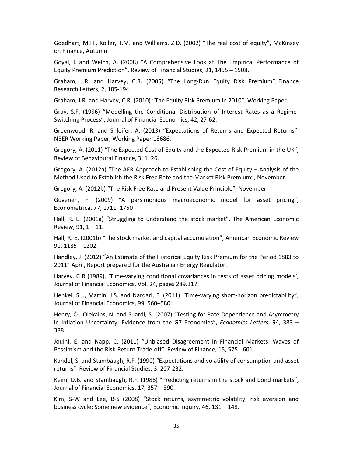Goedhart, M.H., Koller, T.M. and Williams, Z.D. (2002) "The real cost of equity", McKinsey on Finance, Autumn.

Goyal, I. and Welch, A. (2008) "A Comprehensive Look at The Empirical Performance of Equity Premium Prediction", Review of Financial Studies, 21, 1455 – 1508.

Graham, J.R. and Harvey, C.R. (2005) "The Long‐Run Equity Risk Premium", Finance Research Letters, 2, 185‐194.

Graham, J.R. and Harvey, C.R. (2010) "The Equity Risk Premium in 2010", Working Paper.

Gray, S.F. (1996) "Modelling the Conditional Distribution of Interest Rates as a Regime‐ Switching Process", Journal of Financial Economics, 42, 27‐62.

Greenwood, R. and Shleifer, A. (2013) "Expectations of Returns and Expected Returns", NBER Working Paper, Working Paper 18686.

Gregory, A. (2011) "The Expected Cost of Equity and the Expected Risk Premium in the UK", Review of Behavioural Finance, 3, 1–26.

Gregory, A. (2012a) "The AER Approach to Establishing the Cost of Equity – Analysis of the Method Used to Establish the Risk Free Rate and the Market Risk Premium", November.

Gregory, A. (2012b) "The Risk Free Rate and Present Value Principle", November.

Guvenen, F. (2009) "A parsimonious macroeconomic model for asset pricing", Econometrica, 77, 1711–1750

Hall, R. E. (2001a) "Struggling to understand the stock market", The American Economic Review,  $91, 1 - 11.$ 

Hall, R. E. (2001b) "The stock market and capital accumulation", American Economic Review 91, 1185 – 1202.

Handley, J. (2012) "An Estimate of the Historical Equity Risk Premium for the Period 1883 to 2011" April, Report prepared for the Australian Energy Regulator.

Harvey, C R (1989), 'Time‐varying conditional covariances in tests of asset pricing models', Journal of Financial Economics, Vol. 24, pages 289.317.

Henkel, S.J., Martin, J.S. and Nardari, F. (2011) "Time-varying short-horizon predictability", Journal of Financial Economics, 99, 560–580.

Henry, Ó., Olekalns, N. and Suardi, S. (2007) "Testing for Rate‐Dependence and Asymmetry in Inflation Uncertainty: Evidence from the G7 Economies", *Economics Letters*, 94, 383 – 388.

Jouini, E. and Napp, C. (2011) "Unbiased Disagreement in Financial Markets, Waves of Pessimism and the Risk‐Return Trade‐off", Review of Finance, 15, 575 ‐ 601.

Kandel, S. and Stambaugh, R.F. (1990) "Expectations and volatility of consumption and asset returns", Review of Financial Studies, 3, 207‐232.

Keim, D.B. and Stambaugh, R.F. (1986) "Predicting returns in the stock and bond markets", Journal of Financial Economics, 17, 357 – 390.

Kim, S-W and Lee, B-S (2008) "Stock returns, asymmetric volatility, risk aversion and business cycle: Some new evidence", Economic Inquiry, 46, 131 – 148.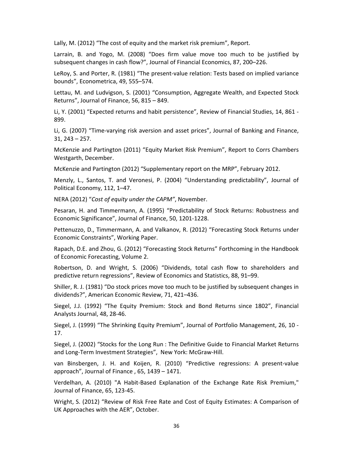Lally, M. (2012) "The cost of equity and the market risk premium", Report.

Larrain, B. and Yogo, M. (2008) "Does firm value move too much to be justified by subsequent changes in cash flow?", Journal of Financial Economics, 87, 200–226.

LeRoy, S. and Porter, R. (1981) "The present‐value relation: Tests based on implied variance bounds", Econometrica, 49, 555–574.

Lettau, M. and Ludvigson, S. (2001) "Consumption, Aggregate Wealth, and Expected Stock Returns", Journal of Finance, 56, 815 – 849.

Li, Y. (2001) "Expected returns and habit persistence", Review of Financial Studies, 14, 861 ‐ 899.

Li, G. (2007) "Time‐varying risk aversion and asset prices", Journal of Banking and Finance, 31, 243 – 257.

McKenzie and Partington (2011) "Equity Market Risk Premium", Report to Corrs Chambers Westgarth, December.

McKenzie and Partington (2012) "Supplementary report on the MRP", February 2012.

Menzly, L., Santos, T. and Veronesi, P. (2004) "Understanding predictability", Journal of Political Economy, 112, 1–47.

NERA (2012) "*Cost of equity under the CAPM"*, November.

Pesaran, H. and Timmermann, A. (1995) "Predictability of Stock Returns: Robustness and Economic Significance", Journal of Finance, 50, 1201‐1228.

Pettenuzzo, D., Timmermann, A. and Valkanov, R. (2012) "Forecasting Stock Returns under Economic Constraints", Working Paper.

Rapach, D.E. and Zhou, G. (2012) "Forecasting Stock Returns" Forthcoming in the Handbook of Economic Forecasting, Volume 2.

Robertson, D. and Wright, S. (2006) "Dividends, total cash flow to shareholders and predictive return regressions", Review of Economics and Statistics, 88, 91–99.

Shiller, R. J. (1981) "Do stock prices move too much to be justified by subsequent changes in dividends?", American Economic Review, 71, 421–436.

Siegel, J.J. (1992) "The Equity Premium: Stock and Bond Returns since 1802", Financial Analysts Journal, 48, 28‐46.

Siegel, J. (1999) "The Shrinking Equity Premium", Journal of Portfolio Management, 26, 10 ‐ 17.

Siegel, J. (2002) "Stocks for the Long Run : The Definitive Guide to Financial Market Returns and Long‐Term Investment Strategies", New York: McGraw‐Hill.

van Binsbergen, J. H. and Koijen, R. (2010) "Predictive regressions: A present‐value approach", Journal of Finance , 65, 1439 – 1471.

Verdelhan, A. (2010) "A Habit‐Based Explanation of the Exchange Rate Risk Premium," Journal of Finance, 65, 123‐45.

Wright, S. (2012) "Review of Risk Free Rate and Cost of Equity Estimates: A Comparison of UK Approaches with the AER", October.